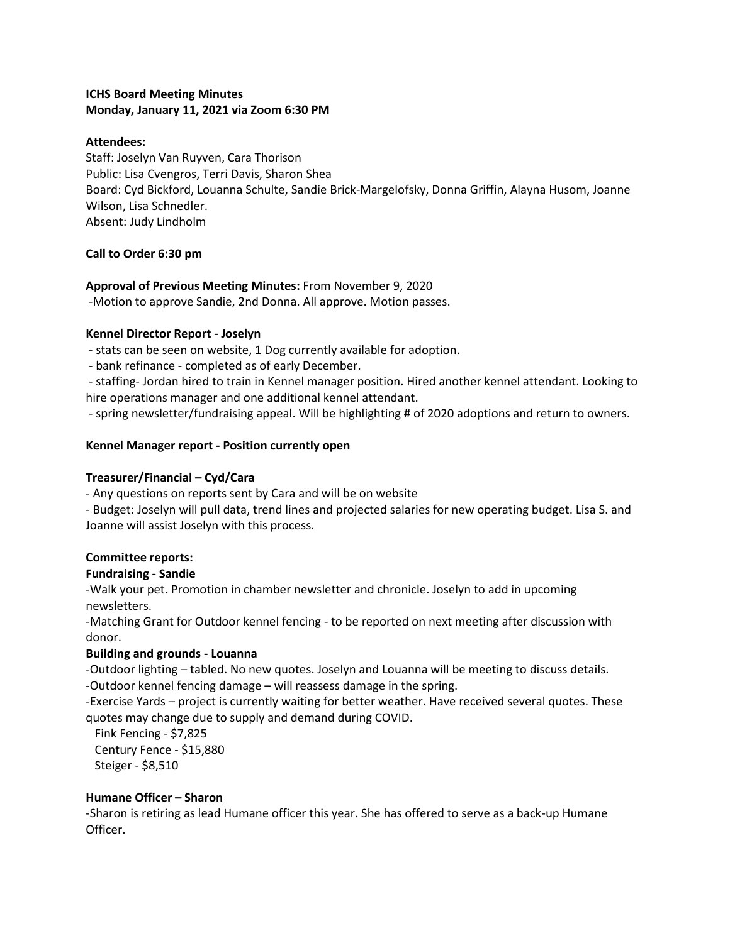# **ICHS Board Meeting Minutes Monday, January 11, 2021 via Zoom 6:30 PM**

#### **Attendees:**

Staff: Joselyn Van Ruyven, Cara Thorison Public: Lisa Cvengros, Terri Davis, Sharon Shea Board: Cyd Bickford, Louanna Schulte, Sandie Brick-Margelofsky, Donna Griffin, Alayna Husom, Joanne Wilson, Lisa Schnedler. Absent: Judy Lindholm

## **Call to Order 6:30 pm**

## **Approval of Previous Meeting Minutes:** From November 9, 2020

-Motion to approve Sandie, 2nd Donna. All approve. Motion passes.

#### **Kennel Director Report - Joselyn**

- stats can be seen on website, 1 Dog currently available for adoption.

- bank refinance - completed as of early December.

- staffing- Jordan hired to train in Kennel manager position. Hired another kennel attendant. Looking to hire operations manager and one additional kennel attendant.

- spring newsletter/fundraising appeal. Will be highlighting # of 2020 adoptions and return to owners.

#### **Kennel Manager report - Position currently open**

#### **Treasurer/Financial – Cyd/Cara**

- Any questions on reports sent by Cara and will be on website

- Budget: Joselyn will pull data, trend lines and projected salaries for new operating budget. Lisa S. and Joanne will assist Joselyn with this process.

## **Committee reports:**

## **Fundraising - Sandie**

-Walk your pet. Promotion in chamber newsletter and chronicle. Joselyn to add in upcoming newsletters.

-Matching Grant for Outdoor kennel fencing - to be reported on next meeting after discussion with donor.

## **Building and grounds - Louanna**

-Outdoor lighting – tabled. No new quotes. Joselyn and Louanna will be meeting to discuss details. -Outdoor kennel fencing damage – will reassess damage in the spring.

-Exercise Yards – project is currently waiting for better weather. Have received several quotes. These quotes may change due to supply and demand during COVID.

 Fink Fencing - \$7,825 Century Fence - \$15,880 Steiger - \$8,510

#### **Humane Officer – Sharon**

-Sharon is retiring as lead Humane officer this year. She has offered to serve as a back-up Humane Officer.